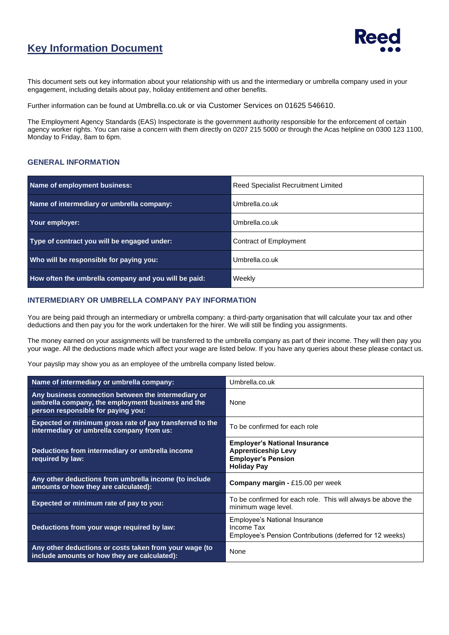## **Key Information Document**



This document sets out key information about your relationship with us and the intermediary or umbrella company used in your engagement, including details about pay, holiday entitlement and other benefits.

Further information can be found at Umbrella.co.uk or via Customer Services on 01625 546610.

The Employment Agency Standards (EAS) Inspectorate is the government authority responsible for the enforcement of certain agency worker rights. You can raise a concern with them directly on 0207 215 5000 or through the Acas helpline on 0300 123 1100, Monday to Friday, 8am to 6pm.

## **GENERAL INFORMATION**

| Name of employment business:                         | <b>Reed Specialist Recruitment Limited</b> |  |
|------------------------------------------------------|--------------------------------------------|--|
| Name of intermediary or umbrella company:            | Umbrella.co.uk                             |  |
| Your employer:                                       | Umbrella.co.uk                             |  |
| Type of contract you will be engaged under:          | Contract of Employment                     |  |
| Who will be responsible for paying you:              | Umbrella.co.uk                             |  |
| How often the umbrella company and you will be paid: | Weekly                                     |  |

## **INTERMEDIARY OR UMBRELLA COMPANY PAY INFORMATION**

You are being paid through an intermediary or umbrella company: a third-party organisation that will calculate your tax and other deductions and then pay you for the work undertaken for the hirer. We will still be finding you assignments.

The money earned on your assignments will be transferred to the umbrella company as part of their income. They will then pay you your wage. All the deductions made which affect your wage are listed below. If you have any queries about these please contact us.

Your payslip may show you as an employee of the umbrella company listed below.

| Name of intermediary or umbrella company:                                                                                                      | Umbrella.co.uk                                                                                                        |  |
|------------------------------------------------------------------------------------------------------------------------------------------------|-----------------------------------------------------------------------------------------------------------------------|--|
| Any business connection between the intermediary or<br>umbrella company, the employment business and the<br>person responsible for paying you: | None                                                                                                                  |  |
| Expected or minimum gross rate of pay transferred to the<br>intermediary or umbrella company from us:                                          | To be confirmed for each role                                                                                         |  |
| Deductions from intermediary or umbrella income<br>required by law:                                                                            | <b>Employer's National Insurance</b><br><b>Apprenticeship Levy</b><br><b>Employer's Pension</b><br><b>Holiday Pay</b> |  |
| Any other deductions from umbrella income (to include<br>amounts or how they are calculated):                                                  | <b>Company margin - £15.00 per week</b>                                                                               |  |
| Expected or minimum rate of pay to you:                                                                                                        | To be confirmed for each role. This will always be above the<br>minimum wage level.                                   |  |
| Deductions from your wage required by law:                                                                                                     | Employee's National Insurance<br>Income Tax<br>Employee's Pension Contributions (deferred for 12 weeks)               |  |
| Any other deductions or costs taken from your wage (to<br>include amounts or how they are calculated):                                         | None                                                                                                                  |  |